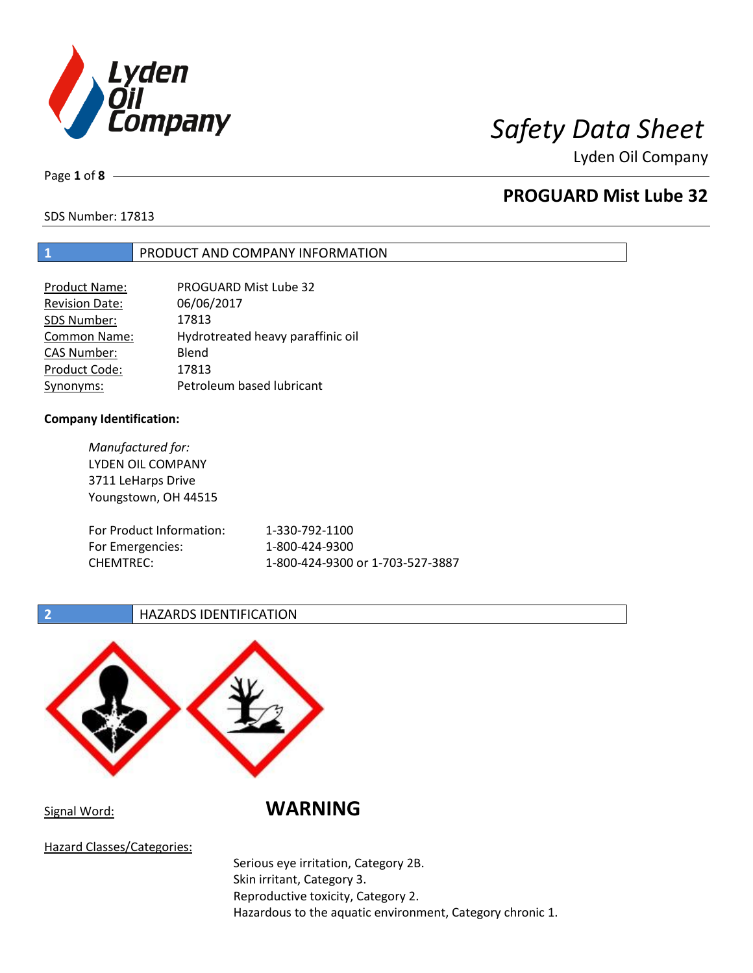

Lyden Oil Company

Page **1** of **8**

## **PROGUARD Mist Lube 32**

SDS Number: 17813

## **1** PRODUCT AND COMPANY INFORMATION

| Product Name:         | <b>PROGUARD Mist Lube 32</b>      |
|-----------------------|-----------------------------------|
| <b>Revision Date:</b> | 06/06/2017                        |
| SDS Number:           | 17813                             |
| Common Name:          | Hydrotreated heavy paraffinic oil |
| <b>CAS Number:</b>    | Blend                             |
| Product Code:         | 17813                             |
| Synonyms:             | Petroleum based lubricant         |

#### **Company Identification:**

*Manufactured for:*  LYDEN OIL COMPANY 3711 LeHarps Drive Youngstown, OH 44515 For Product Information: 1-330-792-1100 For Emergencies: 1-800-424-9300 CHEMTREC: 1-800-424-9300 or 1-703-527-3887

## **2 HAZARDS IDENTIFICATION**



Signal Word: **WARNING** 

Hazard Classes/Categories:

Serious eye irritation, Category 2B. Skin irritant, Category 3. Reproductive toxicity, Category 2. Hazardous to the aquatic environment, Category chronic 1.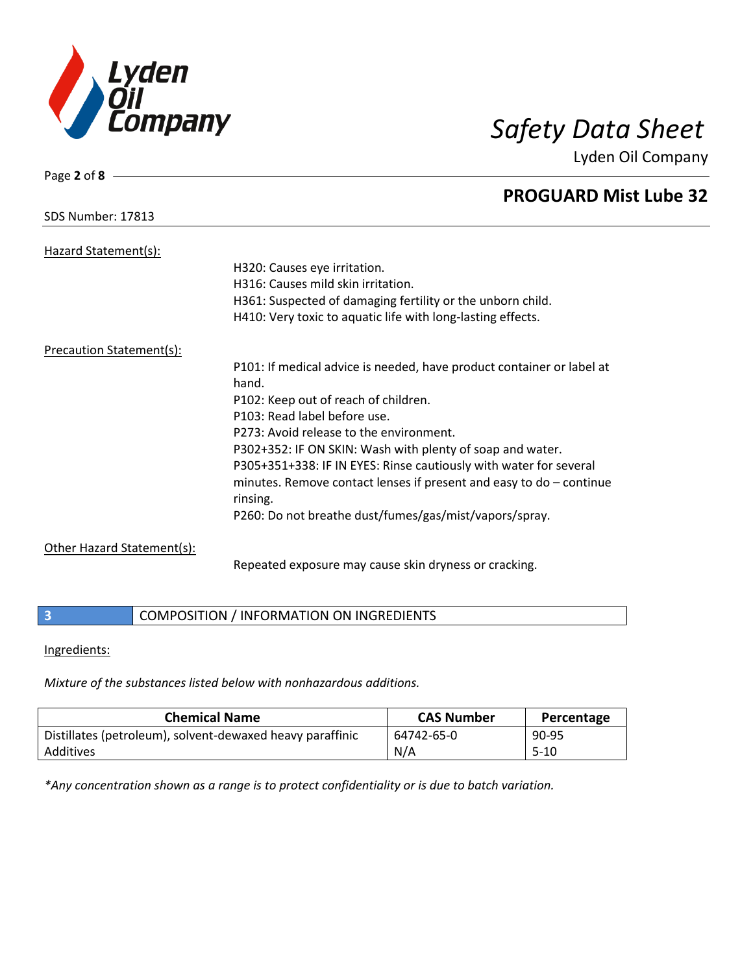

Page **2** of **8**

SDS Number: 17813

# *Safety Data Sheet*

Lyden Oil Company

## **PROGUARD Mist Lube 32**

| Hazard Statement(s):       | H320: Causes eye irritation.<br>H316: Causes mild skin irritation.<br>H361: Suspected of damaging fertility or the unborn child.<br>H410: Very toxic to aquatic life with long-lasting effects. |
|----------------------------|-------------------------------------------------------------------------------------------------------------------------------------------------------------------------------------------------|
| Precaution Statement(s):   |                                                                                                                                                                                                 |
|                            | P101: If medical advice is needed, have product container or label at<br>hand.                                                                                                                  |
|                            | P102: Keep out of reach of children.                                                                                                                                                            |
|                            | P103: Read label before use.                                                                                                                                                                    |
|                            | P273: Avoid release to the environment.                                                                                                                                                         |
|                            | P302+352: IF ON SKIN: Wash with plenty of soap and water.                                                                                                                                       |
|                            | P305+351+338: IF IN EYES: Rinse cautiously with water for several<br>minutes. Remove contact lenses if present and easy to $do$ – continue<br>rinsing.                                          |
|                            | P260: Do not breathe dust/fumes/gas/mist/vapors/spray.                                                                                                                                          |
| Other Hazard Statement(s): |                                                                                                                                                                                                 |
|                            | Repeated exposure may cause skin dryness or cracking.                                                                                                                                           |

## **3** COMPOSITION / INFORMATION ON INGREDIENTS

#### Ingredients:

*Mixture of the substances listed below with nonhazardous additions.* 

| <b>Chemical Name</b>                                      | <b>CAS Number</b> | Percentage |
|-----------------------------------------------------------|-------------------|------------|
| Distillates (petroleum), solvent-dewaxed heavy paraffinic | 64742-65-0        | 90-95      |
| Additives                                                 | N/A               | $5 - 10$   |

*\*Any concentration shown as a range is to protect confidentiality or is due to batch variation.*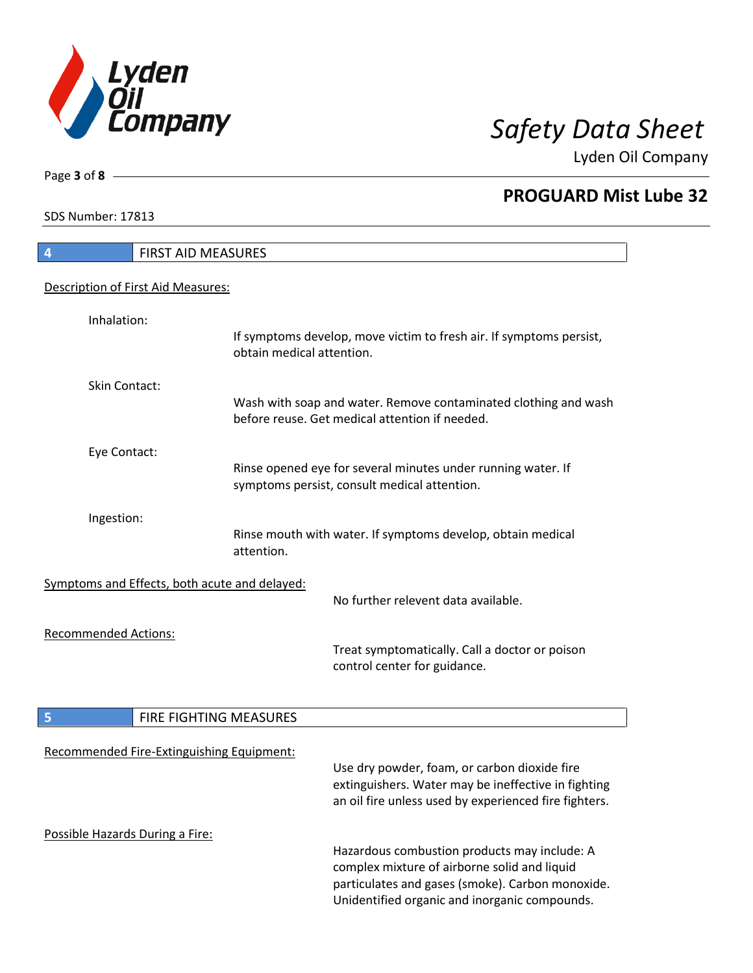

**PROGUARD Mist Lube 32** 

Lyden Oil Company

SDS Number: 17813

Page **3** of **8**

## **4** FIRST AID MEASURES Description of First Aid Measures: Inhalation: If symptoms develop, move victim to fresh air. If symptoms persist, obtain medical attention. Skin Contact: Wash with soap and water. Remove contaminated clothing and wash before reuse. Get medical attention if needed. Eye Contact: Rinse opened eye for several minutes under running water. If symptoms persist, consult medical attention. Ingestion: Rinse mouth with water. If symptoms develop, obtain medical attention. Symptoms and Effects, both acute and delayed: No further relevent data available. Recommended Actions: Treat symptomatically. Call a doctor or poison control center for guidance. **5** FIRE FIGHTING MEASURES Recommended Fire-Extinguishing Equipment: Use dry powder, foam, or carbon dioxide fire extinguishers. Water may be ineffective in fighting an oil fire unless used by experienced fire fighters. Possible Hazards During a Fire: Hazardous combustion products may include: A complex mixture of airborne solid and liquid particulates and gases (smoke). Carbon monoxide. Unidentified organic and inorganic compounds.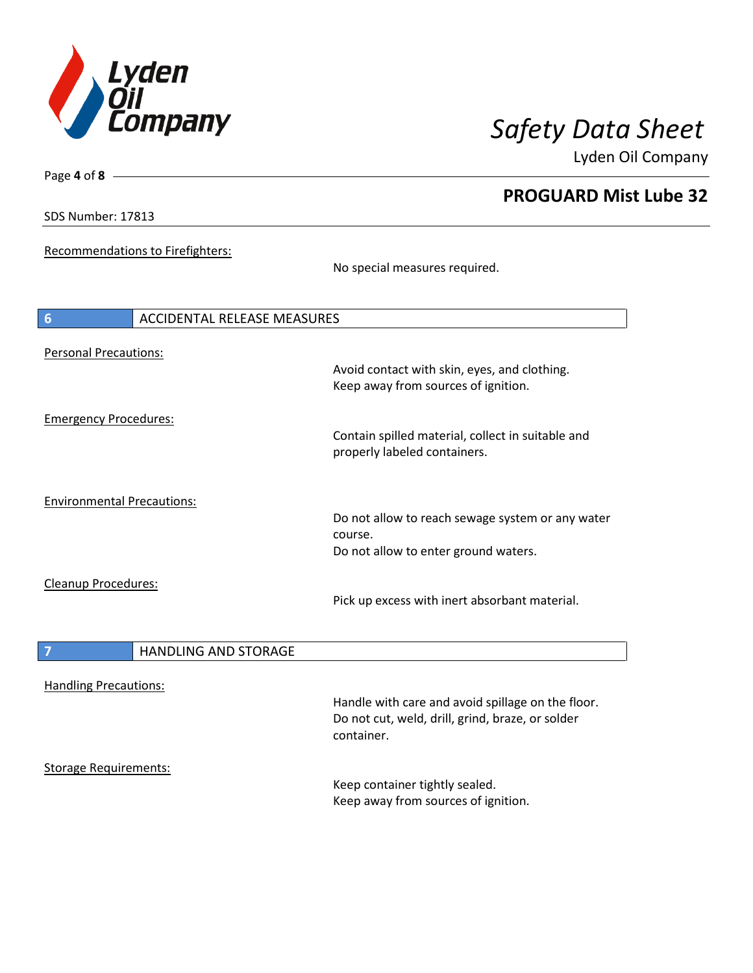

**PROGUARD Mist Lube 32** 

Lyden Oil Company

SDS Number: 17813

Page **4** of **8**

Recommendations to Firefighters:

No special measures required.

| 6                                 | <b>ACCIDENTAL RELEASE MEASURES</b>                                                                  |
|-----------------------------------|-----------------------------------------------------------------------------------------------------|
| <b>Personal Precautions:</b>      | Avoid contact with skin, eyes, and clothing.<br>Keep away from sources of ignition.                 |
| <b>Emergency Procedures:</b>      | Contain spilled material, collect in suitable and<br>properly labeled containers.                   |
| <b>Environmental Precautions:</b> | Do not allow to reach sewage system or any water<br>course.<br>Do not allow to enter ground waters. |
| <b>Cleanup Procedures:</b>        | Pick up excess with inert absorbant material.                                                       |

| <b>HANDLING AND STORAGE</b> |
|-----------------------------|
|                             |

Handling Precautions:

Handle with care and avoid spillage on the floor. Do not cut, weld, drill, grind, braze, or solder container.

Storage Requirements:

Keep container tightly sealed. Keep away from sources of ignition.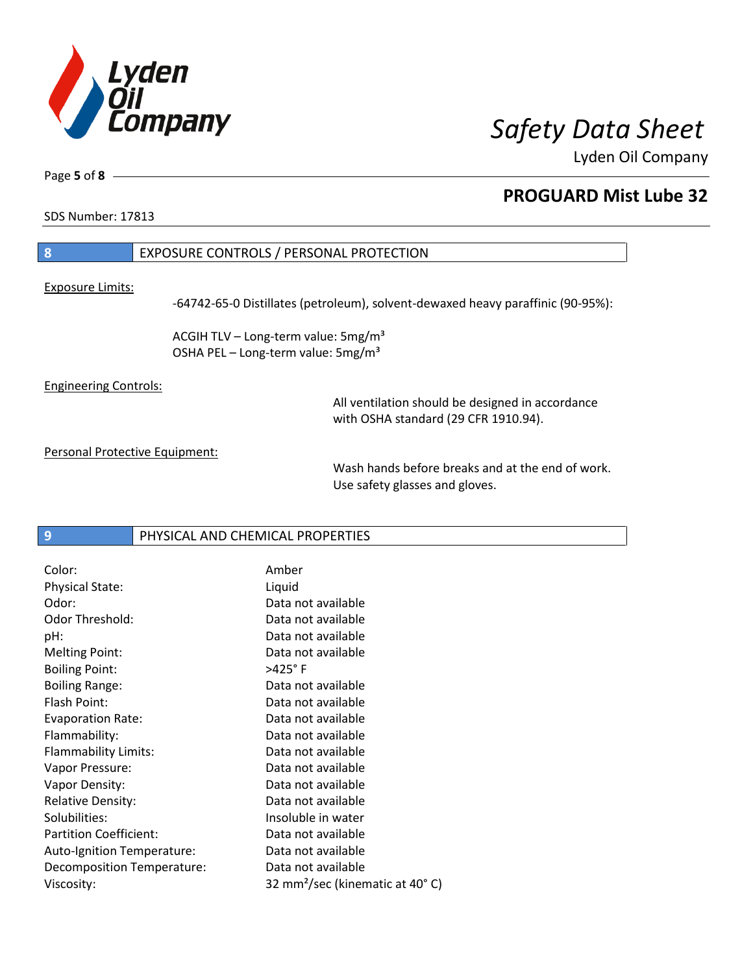

Lyden Oil Company

Page **5** of **8**

## **PROGUARD Mist Lube 32**

SDS Number: 17813

## **8** EXPOSURE CONTROLS / PERSONAL PROTECTION

Exposure Limits:

-64742-65-0 Distillates (petroleum), solvent-dewaxed heavy paraffinic (90-95%):

ACGIH TLV – Long-term value:  $5mg/m<sup>3</sup>$ OSHA PEL - Long-term value: 5mg/m<sup>3</sup>

Engineering Controls:

All ventilation should be designed in accordance with OSHA standard (29 CFR 1910.94).

Personal Protective Equipment:

Wash hands before breaks and at the end of work. Use safety glasses and gloves.

**9** PHYSICAL AND CHEMICAL PROPERTIES

| Color:                        | Amber                                       |
|-------------------------------|---------------------------------------------|
| <b>Physical State:</b>        | Liquid                                      |
| Odor:                         | Data not available                          |
| Odor Threshold:               | Data not available                          |
| pH:                           | Data not available                          |
| <b>Melting Point:</b>         | Data not available                          |
| <b>Boiling Point:</b>         | $>425^\circ$ F                              |
| <b>Boiling Range:</b>         | Data not available                          |
| Flash Point:                  | Data not available                          |
| <b>Evaporation Rate:</b>      | Data not available                          |
| Flammability:                 | Data not available                          |
| Flammability Limits:          | Data not available                          |
| Vapor Pressure:               | Data not available                          |
| Vapor Density:                | Data not available                          |
| <b>Relative Density:</b>      | Data not available                          |
| Solubilities:                 | Insoluble in water                          |
| <b>Partition Coefficient:</b> | Data not available                          |
| Auto-Ignition Temperature:    | Data not available                          |
| Decomposition Temperature:    | Data not available                          |
| Viscosity:                    | 32 mm <sup>2</sup> /sec (kinematic at 40°C) |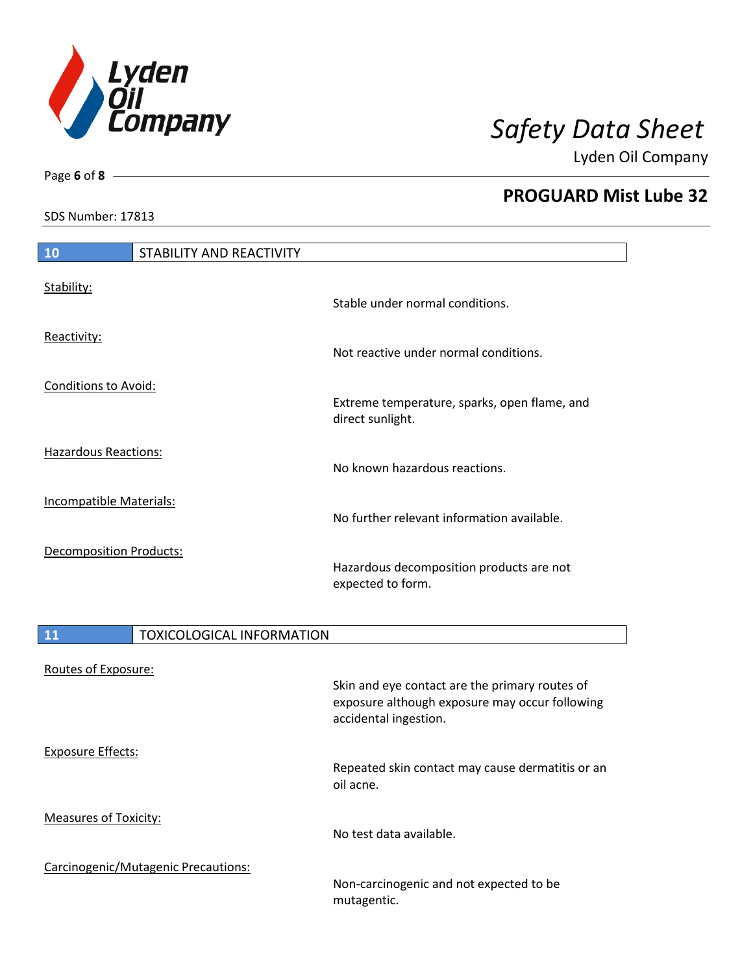

Lyden Oil Company

SDS Number: 17813

Page **6** of **8**

| <b>PROGUARD Mist Lube 32</b> |  |  |  |
|------------------------------|--|--|--|
|------------------------------|--|--|--|

**10** STABILITY AND REACTIVITY

| Stability:                     | Stable under normal conditions.                                  |
|--------------------------------|------------------------------------------------------------------|
| Reactivity:                    | Not reactive under normal conditions.                            |
| Conditions to Avoid:           | Extreme temperature, sparks, open flame, and<br>direct sunlight. |
| <b>Hazardous Reactions:</b>    | No known hazardous reactions.                                    |
| Incompatible Materials:        | No further relevant information available.                       |
| <b>Decomposition Products:</b> | Hazardous decomposition products are not<br>expected to form.    |

| 11<br><b>TOXICOLOGICAL INFORMATION</b> |                                                                                                                           |
|----------------------------------------|---------------------------------------------------------------------------------------------------------------------------|
| Routes of Exposure:                    | Skin and eye contact are the primary routes of<br>exposure although exposure may occur following<br>accidental ingestion. |
| <b>Exposure Effects:</b>               | Repeated skin contact may cause dermatitis or an<br>oil acne.                                                             |
| <b>Measures of Toxicity:</b>           | No test data available.                                                                                                   |
| Carcinogenic/Mutagenic Precautions:    | Non-carcinogenic and not expected to be<br>mutagentic.                                                                    |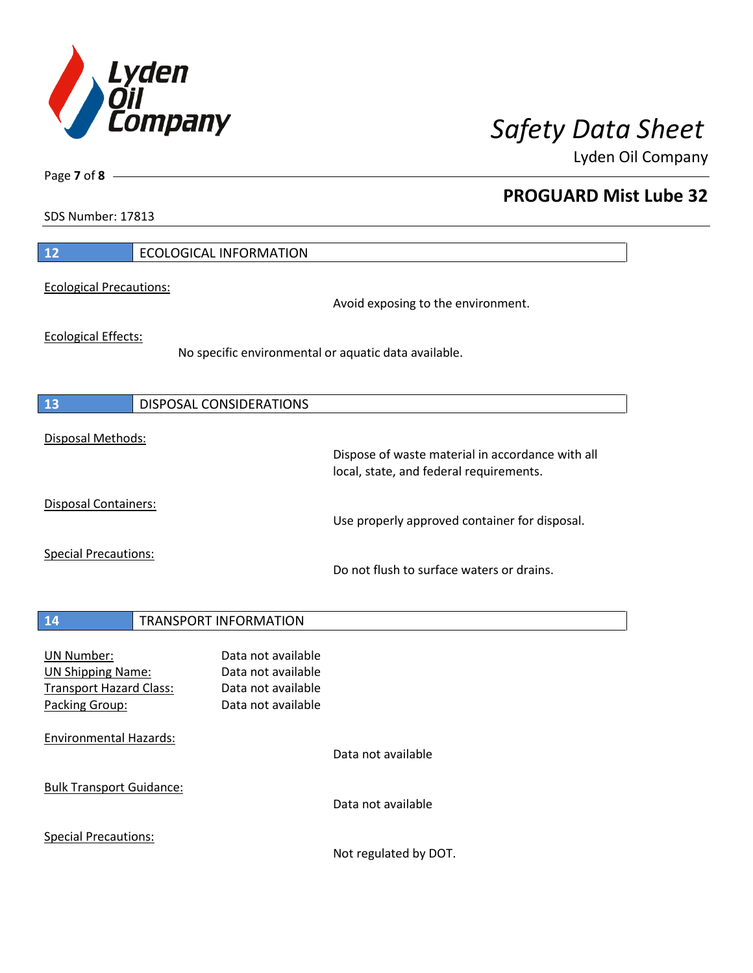

**PROGUARD Mist Lube 32** 

Lyden Oil Company

SDS Number: 17813

Page **7** of **8**

| 12                                                                                                | <b>ECOLOGICAL INFORMATION</b>                                                        |                                                                                             |
|---------------------------------------------------------------------------------------------------|--------------------------------------------------------------------------------------|---------------------------------------------------------------------------------------------|
| <b>Ecological Precautions:</b>                                                                    |                                                                                      | Avoid exposing to the environment.                                                          |
| <b>Ecological Effects:</b>                                                                        | No specific environmental or aquatic data available.                                 |                                                                                             |
| 13                                                                                                | DISPOSAL CONSIDERATIONS                                                              |                                                                                             |
| Disposal Methods:                                                                                 |                                                                                      | Dispose of waste material in accordance with all<br>local, state, and federal requirements. |
| <b>Disposal Containers:</b>                                                                       |                                                                                      | Use properly approved container for disposal.                                               |
| <b>Special Precautions:</b>                                                                       |                                                                                      | Do not flush to surface waters or drains.                                                   |
| 14                                                                                                | <b>TRANSPORT INFORMATION</b>                                                         |                                                                                             |
| <b>UN Number:</b><br><b>UN Shipping Name:</b><br><b>Transport Hazard Class:</b><br>Packing Group: | Data not available<br>Data not available<br>Data not available<br>Data not available |                                                                                             |
| <b>Environmental Hazards:</b>                                                                     |                                                                                      | Data not available                                                                          |
| <b>Bulk Transport Guidance:</b>                                                                   |                                                                                      | Data not available                                                                          |
| <b>Special Precautions:</b>                                                                       |                                                                                      |                                                                                             |

Not regulated by DOT.